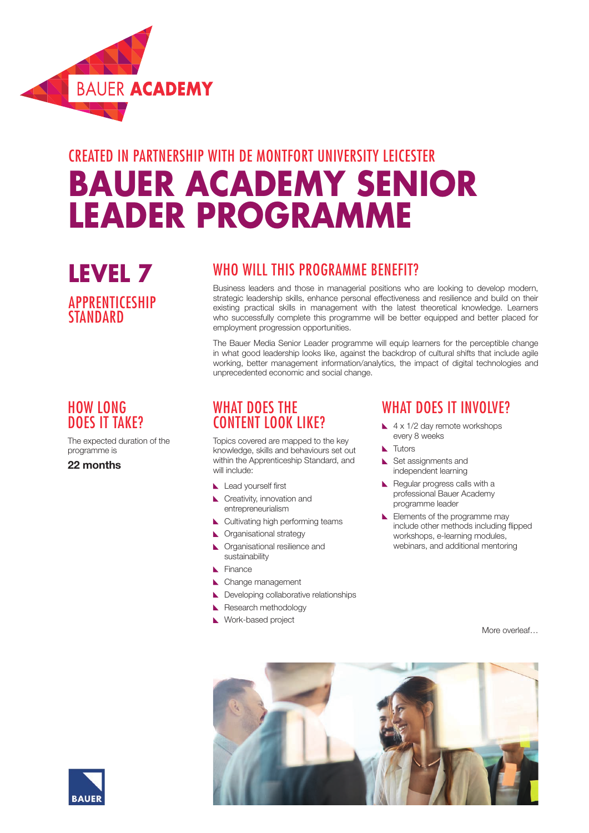

# CREATED IN PARTNERSHIP WITH DE MONTFORT UNIVERSITY LEICESTER **BAUER ACADEMY SENIOR LEADER PROGRAMME**

### **LEVEL 7** APPRENTICESHIP **STANDARD**

#### HOW LONG DOES IT TAKE?

The expected duration of the programme is

22 months

#### WHO WILL THIS PROGRAMME BENEFIT?

Business leaders and those in managerial positions who are looking to develop modern, strategic leadership skills, enhance personal effectiveness and resilience and build on their existing practical skills in management with the latest theoretical knowledge. Learners who successfully complete this programme will be better equipped and better placed for employment progression opportunities.

The Bauer Media Senior Leader programme will equip learners for the perceptible change in what good leadership looks like, against the backdrop of cultural shifts that include agile working, better management information/analytics, the impact of digital technologies and unprecedented economic and social change.

#### WHAT DOFS THE CONTENT LOOK LIKE?

Topics covered are mapped to the key knowledge, skills and behaviours set out within the Apprenticeship Standard, and will include:

- Lead yourself first
- Creativity, innovation and entrepreneurialism
- Cultivating high performing teams
- **N** Organisational strategy
- **N** Organisational resilience and sustainability
- Finance
- Change management
- Developing collaborative relationships
- Research methodology
- Work-based project

#### WHAT DOFS IT INVOIVE?

- $\blacktriangle$  4 x 1/2 day remote workshops every 8 weeks
- **N** Tutors
- Set assignments and independent learning
- Regular progress calls with a professional Bauer Academy programme leader
- Elements of the programme may include other methods including flipped workshops, e-learning modules, webinars, and additional mentoring

More overleaf…